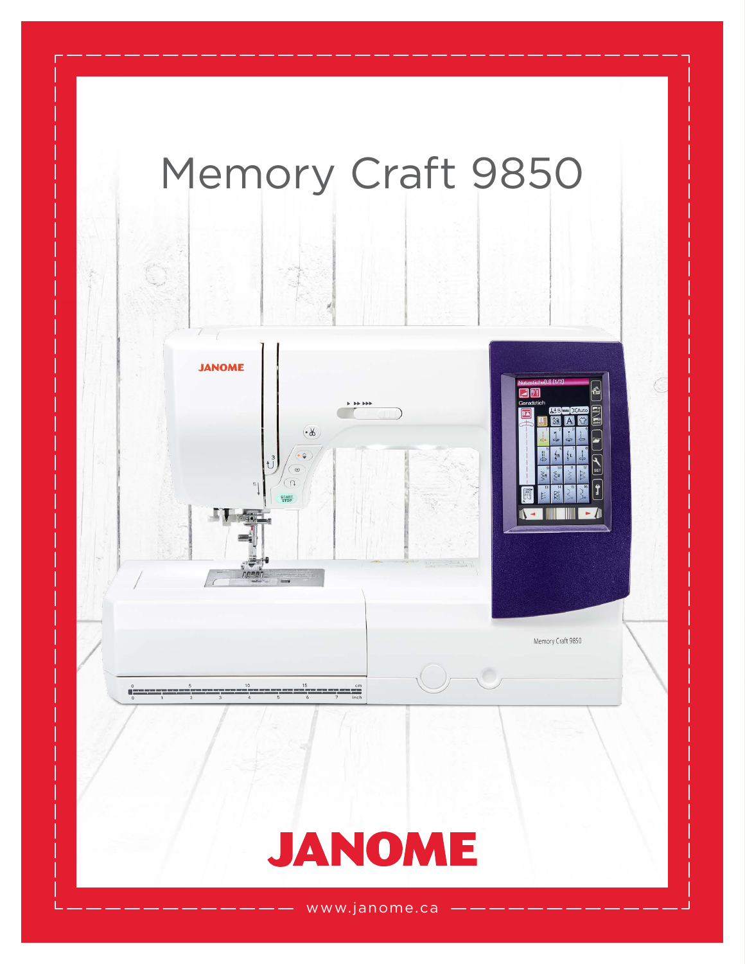

www.janome.ca